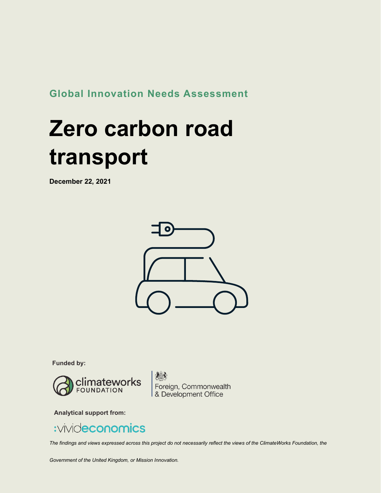**Global Innovation Needs Assessment**

# **Zero carbon road transport**

**December 22, 2021**



**Funded by:**



Foreign, Commonwealth<br>& Development Office

**Analytical support from:**



*The findings and views expressed across this project do not necessarily reflect the views of the ClimateWorks Foundation, the*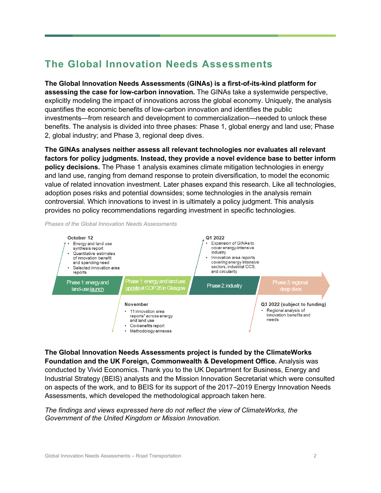### **The Global Innovation Needs Assessments**

**The Global Innovation Needs Assessments (GINAs) is a first-of-its-kind platform for assessing the case for low-carbon innovation.** The GINAs take a systemwide perspective, explicitly modeling the impact of innovations across the global economy. Uniquely, the analysis quantifies the economic benefits of low-carbon innovation and identifies the public investments—from research and development to commercialization—needed to unlock these benefits. The analysis is divided into three phases: Phase 1, global energy and land use; Phase 2, global industry; and Phase 3, regional deep dives.

**The GINAs analyses neither assess all relevant technologies nor evaluates all relevant factors for policy judgments. Instead, they provide a novel evidence base to better inform policy decisions.** The Phase 1 analysis examines climate mitigation technologies in energy and land use, ranging from demand response to protein diversification, to model the economic value of related innovation investment. Later phases expand this research. Like all technologies, adoption poses risks and potential downsides; some technologies in the analysis remain controversial. Which innovations to invest in is ultimately a policy judgment. This analysis provides no policy recommendations regarding investment in specific technologies.

*Phases of the Global Innovation Needs Assessments* 



**The Global Innovation Needs Assessments project is funded by the ClimateWorks Foundation and the UK Foreign, Commonwealth & Development Office.** Analysis was conducted by Vivid Economics. Thank you to the UK Department for Business, Energy and Industrial Strategy (BEIS) analysts and the Mission Innovation Secretariat which were consulted on aspects of the work, and to BEIS for its support of the 2017–2019 Energy Innovation Needs Assessments, which developed the methodological approach taken here.

*The findings and views expressed here do not reflect the view of ClimateWorks, the Government of the United Kingdom or Mission Innovation.*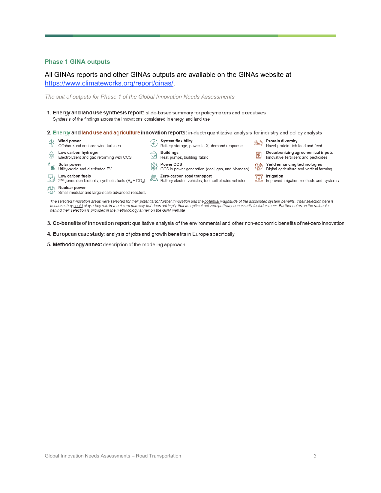#### **Phase 1 GINA outputs**

#### All GINAs reports and other GINAs outputs are available on the GINAs website at [https://www.climateworks.org/report/ginas/.](https://www.climateworks.org/report/ginas/)

*The suit of outputs for Phase 1 of the Global Innovation Needs Assessments*

- 1. Energy and land use synthesis report: slide-based summary for policymakers and executives Synthesis of the findings across the innovations considered in energy and land use
- 2. Energy and land use and agriculture innovation reports: in-depth quantitative analysis for industry and policy analysts
- Wind power System flexibility **Protein diversity** Protein diversity<br>Novel protein-rich food and feed  $\mathscr{F}_J$ Offshore and onshore wind turbines Battery storage, power-to-X, demand response **Buildings** Low carbon hydrogen Decarbonizing agrochemical inputs  $\overline{\bullet}$ Electrolyzers and gas reforming with CCS Heat pumps, building fabric Innovative fertilisers and pesticides Power CCS<br>CCS in power generation (coal, gas, and biomass) Yield enhancing technologies<br>Side Digital agriculture and vertical farming <sup>※</sup> **Solar power**<br>
■ Utility-scale and distributed PV Solar power Low carbon fuels<br>
2nd generation biofuels, synthetic fuels  $(H_2 + CO_2)$ <br>  $\overbrace{O_2O}$  Battery electric vehicles, fuel cell electric vehicles **THE Irrigation**<br>supproved irrigation methods and systems Nuclear power Small modular and large-scale advanced reactors The selected innovation areas were selected for their potential for further innovation and the potential magnitude of the associated system benefits. Their selection here is<br>because they could play a key role in a net zero
- 3. Co-benefits of innovation report: qualitative analysis of the environmental and other non-economic benefits of net-zero innovation
- 4. European case study: analysis of jobs and growth benefits in Europe specifically
- 5. Methodology annex: description of the modeling approach

behind their selection is provided in the methodology annex on the GINA website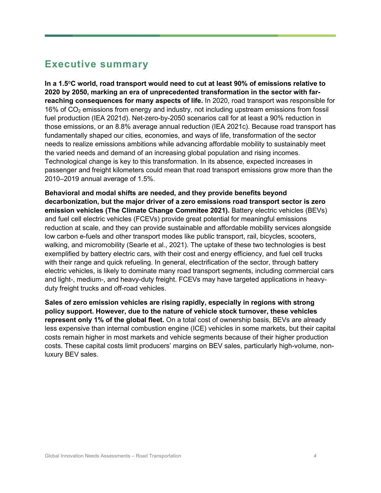### **Executive summary**

**In a 1.5°C world, road transport would need to cut at least 90% of emissions relative to 2020 by 2050, marking an era of unprecedented transformation in the sector with farreaching consequences for many aspects of life.** In 2020, road transport was responsible for 16% of  $CO<sub>2</sub>$  emissions from energy and industry, not including upstream emissions from fossil fuel production (IEA 2021d). Net-zero-by-2050 scenarios call for at least a 90% reduction in those emissions, or an 8.8% average annual reduction (IEA 2021c). Because road transport has fundamentally shaped our cities, economies, and ways of life, transformation of the sector needs to realize emissions ambitions while advancing affordable mobility to sustainably meet the varied needs and demand of an increasing global population and rising incomes. Technological change is key to this transformation. In its absence, expected increases in passenger and freight kilometers could mean that road transport emissions grow more than the 2010–2019 annual average of 1.5%.

**Behavioral and modal shifts are needed, and they provide benefits beyond decarbonization, but the major driver of a zero emissions road transport sector is zero emission vehicles (The Climate Change Commitee 2021).** Battery electric vehicles (BEVs) and fuel cell electric vehicles (FCEVs) provide great potential for meaningful emissions reduction at scale, and they can provide sustainable and affordable mobility services alongside low carbon e-fuels and other transport modes like public transport, rail, bicycles, scooters, walking, and micromobility (Searle et al., 2021). The uptake of these two technologies is best exemplified by battery electric cars, with their cost and energy efficiency, and fuel cell trucks with their range and quick refueling. In general, electrification of the sector, through battery electric vehicles, is likely to dominate many road transport segments, including commercial cars and light-, medium-, and heavy-duty freight. FCEVs may have targeted applications in heavyduty freight trucks and off-road vehicles.

**Sales of zero emission vehicles are rising rapidly, especially in regions with strong policy support. However, due to the nature of vehicle stock turnover, these vehicles represent only 1% of the global fleet.** On a total cost of ownership basis, BEVs are already less expensive than internal combustion engine (ICE) vehicles in some markets, but their capital costs remain higher in most markets and vehicle segments because of their higher production costs. These capital costs limit producers' margins on BEV sales, particularly high-volume, nonluxury BEV sales.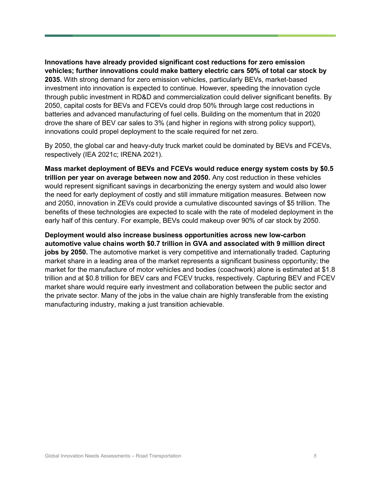**Innovations have already provided significant cost reductions for zero emission vehicles; further innovations could make battery electric cars 50% of total car stock by 2035.** With strong demand for zero emission vehicles, particularly BEVs, market-based investment into innovation is expected to continue. However, speeding the innovation cycle through public investment in RD&D and commercialization could deliver significant benefits. By 2050, capital costs for BEVs and FCEVs could drop 50% through large cost reductions in batteries and advanced manufacturing of fuel cells. Building on the momentum that in 2020 drove the share of BEV car sales to 3% (and higher in regions with strong policy support), innovations could propel deployment to the scale required for net zero.

By 2050, the global car and heavy-duty truck market could be dominated by BEVs and FCEVs, respectively (IEA 2021c; IRENA 2021).

**Mass market deployment of BEVs and FCEVs would reduce energy system costs by \$0.5 trillion per year on average between now and 2050.** Any cost reduction in these vehicles would represent significant savings in decarbonizing the energy system and would also lower the need for early deployment of costly and still immature mitigation measures. Between now and 2050, innovation in ZEVs could provide a cumulative discounted savings of \$5 trillion. The benefits of these technologies are expected to scale with the rate of modeled deployment in the early half of this century. For example, BEVs could makeup over 90% of car stock by 2050.

**Deployment would also increase business opportunities across new low-carbon automotive value chains worth \$0.7 trillion in GVA and associated with 9 million direct jobs by 2050.** The automotive market is very competitive and internationally traded. Capturing market share in a leading area of the market represents a significant business opportunity; the market for the manufacture of motor vehicles and bodies (coachwork) alone is estimated at \$1.8 trillion and at \$0.8 trillion for BEV cars and FCEV trucks, respectively. Capturing BEV and FCEV market share would require early investment and collaboration between the public sector and the private sector. Many of the jobs in the value chain are highly transferable from the existing manufacturing industry, making a just transition achievable.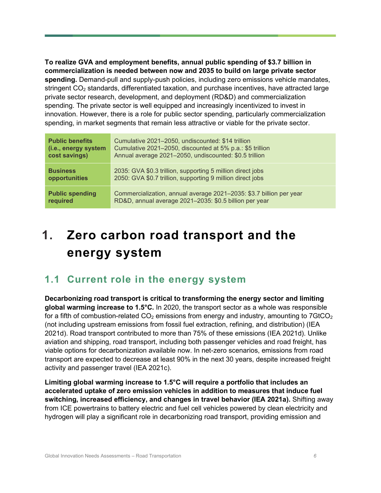**To realize GVA and employment benefits, annual public spending of \$3.7 billion in commercialization is needed between now and 2035 to build on large private sector spending.** Demand-pull and supply-push policies, including zero emissions vehicle mandates, stringent  $CO<sub>2</sub>$  standards, differentiated taxation, and purchase incentives, have attracted large private sector research, development, and deployment (RD&D) and commercialization spending. The private sector is well equipped and increasingly incentivized to invest in innovation. However, there is a role for public sector spending, particularly commercialization spending, in market segments that remain less attractive or viable for the private sector.

| <b>Public benefits</b> | Cumulative 2021-2050, undiscounted: \$14 trillion                   |
|------------------------|---------------------------------------------------------------------|
| (i.e., energy system   | Cumulative 2021-2050, discounted at 5% p.a.: \$5 trillion           |
| cost savings)          | Annual average 2021-2050, undiscounted: \$0.5 trillion              |
| <b>Business</b>        | 2035: GVA \$0.3 trillion, supporting 5 million direct jobs          |
| opportunities          | 2050: GVA \$0.7 trillion, supporting 9 million direct jobs          |
| <b>Public spending</b> | Commercialization, annual average 2021-2035: \$3.7 billion per year |
| required               | RD&D, annual average 2021-2035: \$0.5 billion per year              |

# **1. Zero carbon road transport and the energy system**

### **1.1 Current role in the energy system**

**Decarbonizing road transport is critical to transforming the energy sector and limiting global warming increase to 1.5°C.** In 2020, the transport sector as a whole was responsible for a fifth of combustion-related  $CO<sub>2</sub>$  emissions from energy and industry, amounting to 7GtCO<sub>2</sub> (not including upstream emissions from fossil fuel extraction, refining, and distribution) (IEA 2021d). Road transport contributed to more than 75% of these emissions (IEA 2021d). Unlike aviation and shipping, road transport, including both passenger vehicles and road freight, has viable options for decarbonization available now. In net-zero scenarios, emissions from road transport are expected to decrease at least 90% in the next 30 years, despite increased freight activity and passenger travel (IEA 2021c).

**Limiting global warming increase to 1.5°C will require a portfolio that includes an accelerated uptake of zero emission vehicles in addition to measures that induce fuel switching, increased efficiency, and changes in travel behavior (IEA 2021a).** Shifting away from ICE powertrains to battery electric and fuel cell vehicles powered by clean electricity and hydrogen will play a significant role in decarbonizing road transport, providing emission and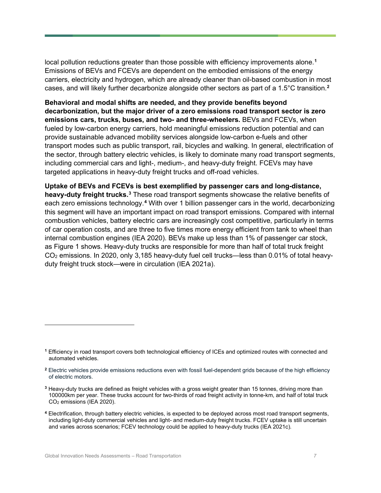local pollution reductions greater than those possible with efficiency improvements alone. **[1](#page-6-0)** Emissions of BEVs and FCEVs are dependent on the embodied emissions of the energy carriers, electricity and hydrogen, which are already cleaner than oil-based combustion in most cases, and will likely further decarbonize alongside other sectors as part of a 1.5°C transition. **[2](#page-6-1)**

**Behavioral and modal shifts are needed, and they provide benefits beyond decarbonization, but the major driver of a zero emissions road transport sector is zero emissions cars, trucks, buses, and two- and three-wheelers.** BEVs and FCEVs, when fueled by low-carbon energy carriers, hold meaningful emissions reduction potential and can provide sustainable advanced mobility services alongside low-carbon e-fuels and other transport modes such as public transport, rail, bicycles and walking. In general, electrification of the sector, through battery electric vehicles, is likely to dominate many road transport segments, including commercial cars and light-, medium-, and heavy-duty freight. FCEVs may have targeted applications in heavy-duty freight trucks and off-road vehicles.

**Uptake of BEVs and FCEVs is best exemplified by passenger cars and long-distance, heavy-duty freight trucks.[3](#page-6-2)** These road transport segments showcase the relative benefits of each zero emissions technology.**[4](#page-6-3)** With over 1 billion passenger cars in the world, decarbonizing this segment will have an important impact on road transport emissions. Compared with internal combustion vehicles, battery electric cars are increasingly cost competitive, particularly in terms of car operation costs, and are three to five times more energy efficient from tank to wheel than internal combustion engines (IEA 2020). BEVs make up less than 1% of passenger car stock, as Figure 1 shows. Heavy-duty trucks are responsible for more than half of total truck freight CO2 emissions. In 2020, only 3,185 heavy-duty fuel cell trucks—less than 0.01% of total heavyduty freight truck stock—were in circulation (IEA 2021a).

<span id="page-6-0"></span>**<sup>1</sup>** Efficiency in road transport covers both technological efficiency of ICEs and optimized routes with connected and automated vehicles.

<span id="page-6-1"></span>**<sup>2</sup>** Electric vehicles provide emissions reductions even with fossil fuel-dependent grids because of the high efficiency of electric motors.

<span id="page-6-2"></span>**<sup>3</sup>** Heavy-duty trucks are defined as freight vehicles with a gross weight greater than 15 tonnes, driving more than 100000km per year. These trucks account for two-thirds of road freight activity in tonne-km, and half of total truck CO2 emissions (IEA 2020).

<span id="page-6-3"></span>**<sup>4</sup>** Electrification, through battery electric vehicles, is expected to be deployed across most road transport segments, including light-duty commercial vehicles and light- and medium-duty freight trucks. FCEV uptake is still uncertain and varies across scenarios; FCEV technology could be applied to heavy-duty trucks (IEA 2021c).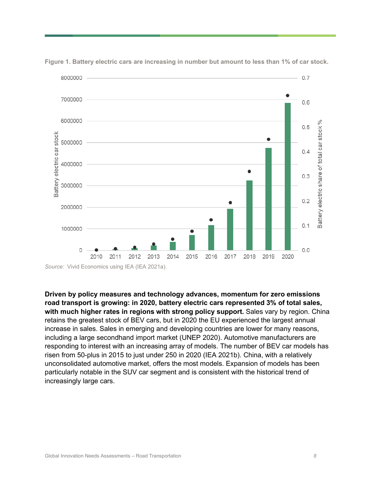

**Figure 1. Battery electric cars are increasing in number but amount to less than 1% of car stock.**

*Source:* Vivid Economics using IEA (IEA 2021a).

**Driven by policy measures and technology advances, momentum for zero emissions road transport is growing: in 2020, battery electric cars represented 3% of total sales, with much higher rates in regions with strong policy support.** Sales vary by region. China retains the greatest stock of BEV cars, but in 2020 the EU experienced the largest annual increase in sales. Sales in emerging and developing countries are lower for many reasons, including a large secondhand import market (UNEP 2020). Automotive manufacturers are responding to interest with an increasing array of models. The number of BEV car models has risen from 50-plus in 2015 to just under 250 in 2020 (IEA 2021b). China, with a relatively unconsolidated automotive market, offers the most models. Expansion of models has been particularly notable in the SUV car segment and is consistent with the historical trend of increasingly large cars.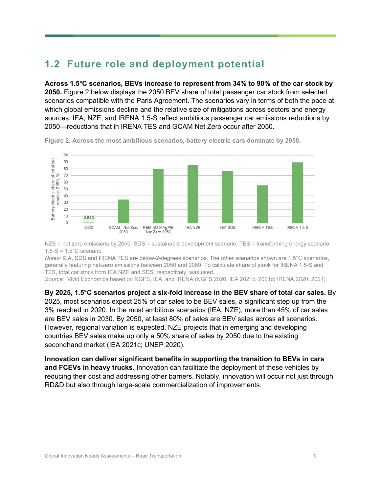### **1.2 Future role and deployment potential**

**Across 1.5°C scenarios, BEVs increase to represent from 34% to 90% of the car stock by 2050.** Figure 2 below displays the 2050 BEV share of total passenger car stock from selected scenarios compatible with the Paris Agreement. The scenarios vary in terms of both the pace at which global emissions decline and the relative size of mitigations across sectors and energy sources. IEA, NZE, and IRENA 1.5-S reflect ambitious passenger car emissions reductions by 2050—reductions that in IRENA TES and GCAM Net Zero occur after 2050.



**Figure 2. Across the most ambitious scenarios, battery electric cars dominate by 2050.**

NZE = net zero emissions by 2050. SDS = sustainable development scenario. TES = transforming energy scenario.  $1.5-S = 1.5^{\circ}$ C scenario.

*Notes:* IEA, SDS and IRENA TES are below-2-degrees scenarios. The other scenarios shown are 1.5°C scenarios, generally featuring net-zero emissions between 2050 and 2060. To calculate share of stock for IRENA 1.5-S and TES, total car stock from IEA NZE and SDS, respectively, was used.

*Source:* Vivid Economics based on NGFS, IEA, and IRENA (NGFS 2020; IEA 2021c; 2021d; IRENA 2020; 2021)*.*

**By 2025, 1.5°C scenarios project a six-fold increase in the BEV share of total car sales.** By 2025, most scenarios expect 25% of car sales to be BEV sales, a significant step up from the 3% reached in 2020. In the most ambitious scenarios (IEA, NZE), more than 45% of car sales are BEV sales in 2030. By 2050, at least 80% of sales are BEV sales across all scenarios. However, regional variation is expected. NZE projects that in emerging and developing countries BEV sales make up only a 50% share of sales by 2050 due to the existing secondhand market (IEA 2021c; UNEP 2020).

**Innovation can deliver significant benefits in supporting the transition to BEVs in cars and FCEVs in heavy trucks.** Innovation can facilitate the deployment of these vehicles by reducing their cost and addressing other barriers. Notably, innovation will occur not just through RD&D but also through large-scale commercialization of improvements.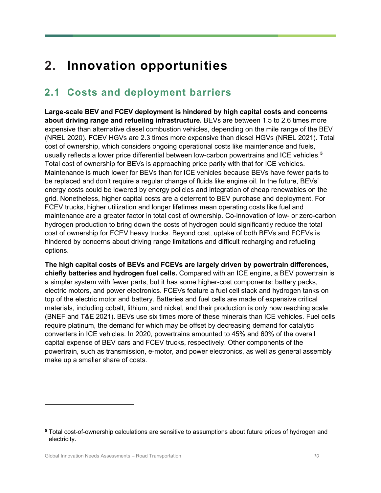# **2. Innovation opportunities**

### **2.1 Costs and deployment barriers**

**Large-scale BEV and FCEV deployment is hindered by high capital costs and concerns about driving range and refueling infrastructure.** BEVs are between 1.5 to 2.6 times more expensive than alternative diesel combustion vehicles, depending on the mile range of the BEV (NREL 2020). FCEV HGVs are 2.3 times more expensive than diesel HGVs (NREL 2021). Total cost of ownership, which considers ongoing operational costs like maintenance and fuels, usually reflects a lower price differential between low-carbon powertrains and ICE vehicles. **[5](#page-9-0)** Total cost of ownership for BEVs is approaching price parity with that for ICE vehicles. Maintenance is much lower for BEVs than for ICE vehicles because BEVs have fewer parts to be replaced and don't require a regular change of fluids like engine oil. In the future, BEVs' energy costs could be lowered by energy policies and integration of cheap renewables on the grid. Nonetheless, higher capital costs are a deterrent to BEV purchase and deployment. For FCEV trucks, higher utilization and longer lifetimes mean operating costs like fuel and maintenance are a greater factor in total cost of ownership. Co-innovation of low- or zero-carbon hydrogen production to bring down the costs of hydrogen could significantly reduce the total cost of ownership for FCEV heavy trucks. Beyond cost, uptake of both BEVs and FCEVs is hindered by concerns about driving range limitations and difficult recharging and refueling options.

**The high capital costs of BEVs and FCEVs are largely driven by powertrain differences, chiefly batteries and hydrogen fuel cells.** Compared with an ICE engine, a BEV powertrain is a simpler system with fewer parts, but it has some higher-cost components: battery packs, electric motors, and power electronics. FCEVs feature a fuel cell stack and hydrogen tanks on top of the electric motor and battery. Batteries and fuel cells are made of expensive critical materials, including cobalt, lithium, and nickel, and their production is only now reaching scale (BNEF and T&E 2021). BEVs use six times more of these minerals than ICE vehicles. Fuel cells require platinum, the demand for which may be offset by decreasing demand for catalytic converters in ICE vehicles. In 2020, powertrains amounted to 45% and 60% of the overall capital expense of BEV cars and FCEV trucks, respectively. Other components of the powertrain, such as transmission, e-motor, and power electronics, as well as general assembly make up a smaller share of costs.

<span id="page-9-0"></span>**<sup>5</sup>** Total cost-of-ownership calculations are sensitive to assumptions about future prices of hydrogen and electricity.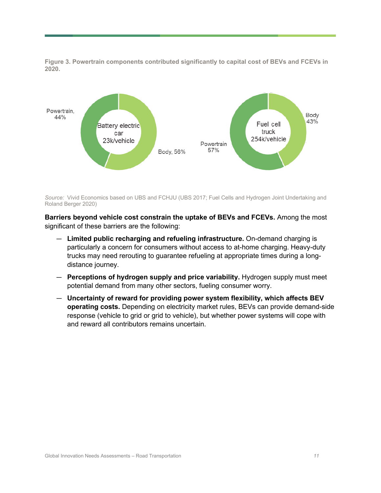**Figure 3. Powertrain components contributed significantly to capital cost of BEVs and FCEVs in 2020.**



*Source:* Vivid Economics based on UBS and FCHJU (UBS 2017; Fuel Cells and Hydrogen Joint Undertaking and Roland Berger 2020)

**Barriers beyond vehicle cost constrain the uptake of BEVs and FCEVs.** Among the most significant of these barriers are the following:

- **Limited public recharging and refueling infrastructure.** On-demand charging is particularly a concern for consumers without access to at-home charging. Heavy-duty trucks may need rerouting to guarantee refueling at appropriate times during a longdistance journey.
- **Perceptions of hydrogen supply and price variability.** Hydrogen supply must meet potential demand from many other sectors, fueling consumer worry.
- **Uncertainty of reward for providing power system flexibility, which affects BEV operating costs.** Depending on electricity market rules, BEVs can provide demand-side response (vehicle to grid or grid to vehicle), but whether power systems will cope with and reward all contributors remains uncertain.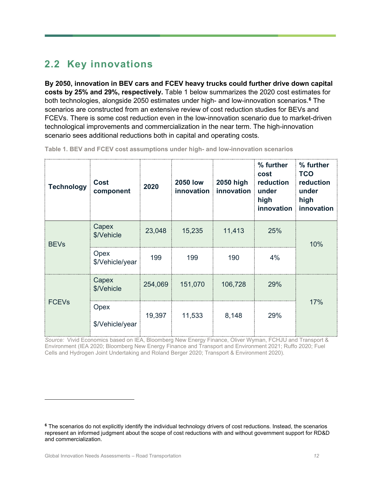### **2.2 Key innovations**

**By 2050, innovation in BEV cars and FCEV heavy trucks could further drive down capital costs by 25% and 29%, respectively.** Table 1 below summarizes the 2020 cost estimates for both technologies, alongside 2050 estimates under high- and low-innovation scenarios.**[6](#page-11-0)** The scenarios are constructed from an extensive review of cost reduction studies for BEVs and FCEVs. There is some cost reduction even in the low-innovation scenario due to market-driven technological improvements and commercialization in the near term. The high-innovation scenario sees additional reductions both in capital and operating costs.

| <b>Technology</b> | <b>Cost</b><br>component | 2020    | <b>2050 low</b><br>innovation | 2050 high<br>innovation | % further<br>cost<br>reduction<br>under<br>high<br>innovation | % further<br><b>TCO</b><br>reduction<br>under<br>high<br>innovation |  |
|-------------------|--------------------------|---------|-------------------------------|-------------------------|---------------------------------------------------------------|---------------------------------------------------------------------|--|
| <b>BEVs</b>       | Capex<br>\$/Vehicle      | 23,048  | 15,235                        | 11,413                  | 25%                                                           | 10%                                                                 |  |
|                   | Opex<br>\$/Vehicle/year  | 199     | 199                           | 190                     | 4%                                                            |                                                                     |  |
| <b>FCEVs</b>      | Capex<br>\$/Vehicle      | 254,069 | 151,070                       | 106,728                 | 29%                                                           |                                                                     |  |
|                   | Opex<br>\$/Vehicle/year  | 19,397  | 11,533                        | 8,148                   | 29%                                                           | 17%                                                                 |  |

**Table 1. BEV and FCEV cost assumptions under high- and low-innovation scenarios**

*Source:* Vivid Economics based on IEA, Bloomberg New Energy Finance, Oliver Wyman, FCHJU and Transport & Environment (IEA 2020; Bloomberg New Energy Finance and Transport and Environment 2021; Ruffo 2020; Fuel Cells and Hydrogen Joint Undertaking and Roland Berger 2020; Transport & Environment 2020)*.*

<span id="page-11-0"></span>**<sup>6</sup>** The scenarios do not explicitly identify the individual technology drivers of cost reductions. Instead, the scenarios represent an informed judgment about the scope of cost reductions with and without government support for RD&D and commercialization.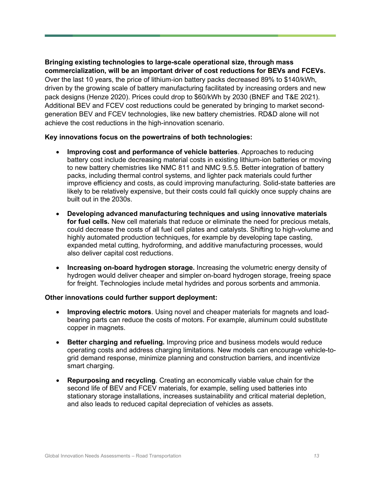#### **Bringing existing technologies to large-scale operational size, through mass commercialization, will be an important driver of cost reductions for BEVs and FCEVs.**

Over the last 10 years, the price of lithium-ion battery packs decreased 89% to \$140/kWh, driven by the growing scale of battery manufacturing facilitated by increasing orders and new pack designs (Henze 2020). Prices could drop to \$60/kWh by 2030 (BNEF and T&E 2021). Additional BEV and FCEV cost reductions could be generated by bringing to market secondgeneration BEV and FCEV technologies, like new battery chemistries. RD&D alone will not achieve the cost reductions in the high-innovation scenario.

#### **Key innovations focus on the powertrains of both technologies:**

- **Improving cost and performance of vehicle batteries**. Approaches to reducing battery cost include decreasing material costs in existing lithium-ion batteries or moving to new battery chemistries like NMC 811 and NMC 9.5.5. Better integration of battery packs, including thermal control systems, and lighter pack materials could further improve efficiency and costs, as could improving manufacturing. Solid-state batteries are likely to be relatively expensive, but their costs could fall quickly once supply chains are built out in the 2030s.
- **Developing advanced manufacturing techniques and using innovative materials for fuel cells.** New cell materials that reduce or eliminate the need for precious metals, could decrease the costs of all fuel cell plates and catalysts. Shifting to high-volume and highly automated production techniques, for example by developing tape casting, expanded metal cutting, hydroforming, and additive manufacturing processes, would also deliver capital cost reductions.
- **Increasing on-board hydrogen storage.** Increasing the volumetric energy density of hydrogen would deliver cheaper and simpler on-board hydrogen storage, freeing space for freight. Technologies include metal hydrides and porous sorbents and ammonia.

#### **Other innovations could further support deployment:**

- **Improving electric motors**. Using novel and cheaper materials for magnets and loadbearing parts can reduce the costs of motors. For example, aluminum could substitute copper in magnets.
- **Better charging and refueling.** Improving price and business models would reduce operating costs and address charging limitations. New models can encourage vehicle-togrid demand response, minimize planning and construction barriers, and incentivize smart charging.
- **Repurposing and recycling**. Creating an economically viable value chain for the second life of BEV and FCEV materials, for example, selling used batteries into stationary storage installations, increases sustainability and critical material depletion, and also leads to reduced capital depreciation of vehicles as assets.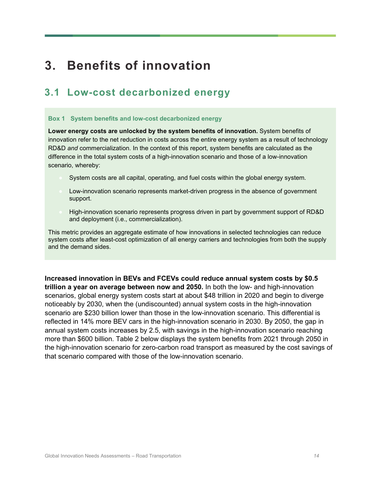# **3. Benefits of innovation**

#### **3.1 Low-cost decarbonized energy**

#### **Box 1 System benefits and low-cost decarbonized energy**

**Lower energy costs are unlocked by the system benefits of innovation.** System benefits of innovation refer to the net reduction in costs across the entire energy system as a result of technology RD&D *and* commercialization. In the context of this report, system benefits are calculated as the difference in the total system costs of a high-innovation scenario and those of a low-innovation scenario, whereby:

- System costs are all capital, operating, and fuel costs within the global energy system.
- Low-innovation scenario represents market-driven progress in the absence of government support.
- High-innovation scenario represents progress driven in part by government support of RD&D and deployment (i.e., commercialization).

This metric provides an aggregate estimate of how innovations in selected technologies can reduce system costs after least-cost optimization of all energy carriers and technologies from both the supply and the demand sides.

**Increased innovation in BEVs and FCEVs could reduce annual system costs by \$0.5 trillion a year on average between now and 2050.** In both the low- and high-innovation scenarios, global energy system costs start at about \$48 trillion in 2020 and begin to diverge noticeably by 2030, when the (undiscounted) annual system costs in the high-innovation scenario are \$230 billion lower than those in the low-innovation scenario. This differential is reflected in 14% more BEV cars in the high-innovation scenario in 2030. By 2050, the gap in annual system costs increases by 2.5, with savings in the high-innovation scenario reaching more than \$600 billion. [Table 2](#page-14-0) below displays the system benefits from 2021 through 2050 in the high-innovation scenario for zero-carbon road transport as measured by the cost savings of that scenario compared with those of the low-innovation scenario.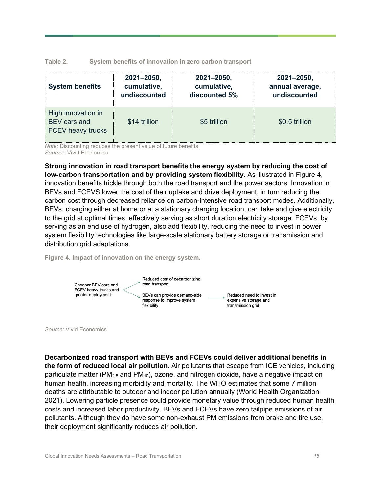<span id="page-14-0"></span>

| Table 2. |  |  | System benefits of innovation in zero carbon transport |  |  |  |
|----------|--|--|--------------------------------------------------------|--|--|--|
|----------|--|--|--------------------------------------------------------|--|--|--|

| <b>System benefits</b>                                         | 2021-2050,    | 2021-2050,    | 2021-2050,      |
|----------------------------------------------------------------|---------------|---------------|-----------------|
|                                                                | cumulative,   | cumulative,   | annual average, |
|                                                                | undiscounted  | discounted 5% | undiscounted    |
| High innovation in<br>BEV cars and<br><b>FCEV heavy trucks</b> | \$14 trillion | \$5 trillion  | \$0.5 trillion  |

*Note:* Discounting reduces the present value of future benefits. *Source:* Vivid Economics.

**Strong innovation in road transport benefits the energy system by reducing the cost of low-carbon transportation and by providing system flexibility.** As illustrated in Figure 4, innovation benefits trickle through both the road transport and the power sectors. Innovation in BEVs and FCEVS lower the cost of their uptake and drive deployment, in turn reducing the carbon cost through decreased reliance on carbon-intensive road transport modes. Additionally, BEVs, charging either at home or at a stationary charging location, can take and give electricity to the grid at optimal times, effectively serving as short duration electricity storage. FCEVs, by serving as an end use of hydrogen, also add flexibility, reducing the need to invest in power system flexibility technologies like large-scale stationary battery storage or transmission and distribution grid adaptations.

**Figure 4. Impact of innovation on the energy system.**



*Source:* Vivid Economics.

**Decarbonized road transport with BEVs and FCEVs could deliver additional benefits in the form of reduced local air pollution.** Air pollutants that escape from ICE vehicles, including particulate matter ( $PM_{2.5}$  and  $PM_{10}$ ), ozone, and nitrogen dioxide, have a negative impact on human health, increasing morbidity and mortality. The WHO estimates that some 7 million deaths are attributable to outdoor and indoor pollution annually (World Health Organization 2021). Lowering particle presence could provide monetary value through reduced human health costs and increased labor productivity. BEVs and FCEVs have zero tailpipe emissions of air pollutants. Although they do have some non-exhaust PM emissions from brake and tire use, their deployment significantly reduces air pollution.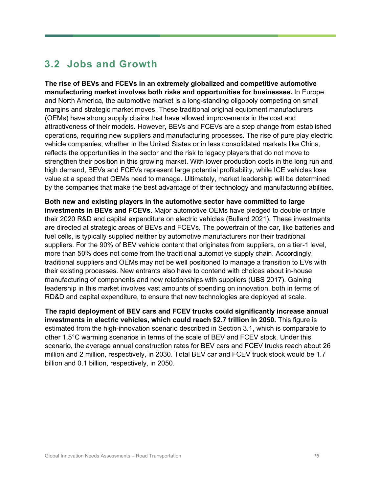### **3.2 Jobs and Growth**

**The rise of BEVs and FCEVs in an extremely globalized and competitive automotive manufacturing market involves both risks and opportunities for businesses.** In Europe and North America, the automotive market is a long-standing oligopoly competing on small margins and strategic market moves. These traditional original equipment manufacturers (OEMs) have strong supply chains that have allowed improvements in the cost and attractiveness of their models. However, BEVs and FCEVs are a step change from established operations, requiring new suppliers and manufacturing processes. The rise of pure play electric vehicle companies, whether in the United States or in less consolidated markets like China, reflects the opportunities in the sector and the risk to legacy players that do not move to strengthen their position in this growing market. With lower production costs in the long run and high demand, BEVs and FCEVs represent large potential profitability, while ICE vehicles lose value at a speed that OEMs need to manage. Ultimately, market leadership will be determined by the companies that make the best advantage of their technology and manufacturing abilities.

**Both new and existing players in the automotive sector have committed to large investments in BEVs and FCEVs.** Major automotive OEMs have pledged to double or triple their 2020 R&D and capital expenditure on electric vehicles (Bullard 2021). These investments are directed at strategic areas of BEVs and FCEVs. The powertrain of the car, like batteries and fuel cells, is typically supplied neither by automotive manufacturers nor their traditional suppliers. For the 90% of BEV vehicle content that originates from suppliers, on a tier-1 level, more than 50% does not come from the traditional automotive supply chain. Accordingly, traditional suppliers and OEMs may not be well positioned to manage a transition to EVs with their existing processes. New entrants also have to contend with choices about in-house manufacturing of components and new relationships with suppliers (UBS 2017). Gaining leadership in this market involves vast amounts of spending on innovation, both in terms of RD&D and capital expenditure, to ensure that new technologies are deployed at scale.

**The rapid deployment of BEV cars and FCEV trucks could significantly increase annual investments in electric vehicles, which could reach \$2.7 trillion in 2050.** This figure is estimated from the high-innovation scenario described in Section 3.1, which is comparable to other 1.5°C warming scenarios in terms of the scale of BEV and FCEV stock. Under this scenario, the average annual construction rates for BEV cars and FCEV trucks reach about 26 million and 2 million, respectively, in 2030. Total BEV car and FCEV truck stock would be 1.7 billion and 0.1 billion, respectively, in 2050.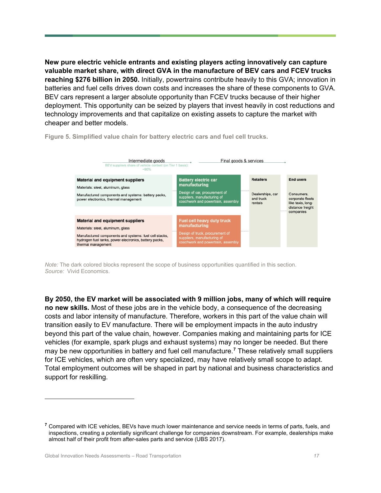**New pure electric vehicle entrants and existing players acting innovatively can capture valuable market share, with direct GVA in the manufacture of BEV cars and FCEV trucks reaching \$276 billion in 2050.** Initially, powertrains contribute heavily to this GVA; innovation in batteries and fuel cells drives down costs and increases the share of these components to GVA. BEV cars represent a larger absolute opportunity than FCEV trucks because of their higher deployment. This opportunity can be seized by players that invest heavily in cost reductions and technology improvements and that capitalize on existing assets to capture the market with cheaper and better models.



**Figure 5. Simplified value chain for battery electric cars and fuel cell trucks.**

*Note:* The dark colored blocks represent the scope of business opportunities quantified in this section. *Source:* Vivid Economics.

**By 2050, the EV market will be associated with 9 million jobs, many of which will require no new skills.** Most of these jobs are in the vehicle body, a consequence of the decreasing costs and labor intensity of manufacture. Therefore, workers in this part of the value chain will transition easily to EV manufacture. There will be employment impacts in the auto industry beyond this part of the value chain, however. Companies making and maintaining parts for ICE vehicles (for example, spark plugs and exhaust systems) may no longer be needed. But there may be new opportunities in battery and fuel cell manufacture.**[7](#page-16-0)** These relatively small suppliers for ICE vehicles, which are often very specialized, may have relatively small scope to adapt. Total employment outcomes will be shaped in part by national and business characteristics and support for reskilling.

<span id="page-16-0"></span>**<sup>7</sup>** Compared with ICE vehicles, BEVs have much lower maintenance and service needs in terms of parts, fuels, and inspections, creating a potentially significant challenge for companies downstream. For example, dealerships make almost half of their profit from after-sales parts and service (UBS 2017).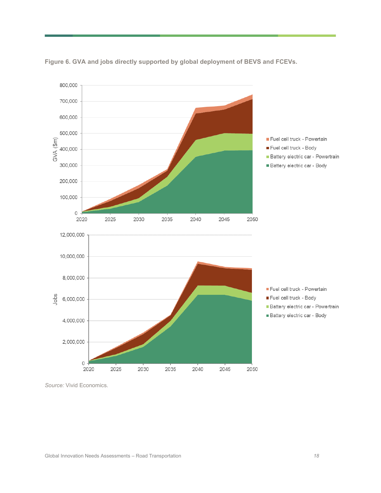

**Figure 6. GVA and jobs directly supported by global deployment of BEVS and FCEVs.**

*Source:* Vivid Economics.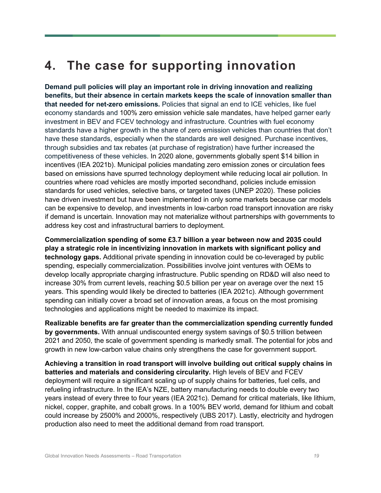# **4. The case for supporting innovation**

**Demand pull policies will play an important role in driving innovation and realizing benefits, but their absence in certain markets keeps the scale of innovation smaller than that needed for net-zero emissions.** Policies that signal an end to ICE vehicles, like fuel economy standards and 100% zero emission vehicle sale mandates, have helped garner early investment in BEV and FCEV technology and infrastructure. Countries with fuel economy standards have a higher growth in the share of zero emission vehicles than countries that don't have these standards, especially when the standards are well designed. Purchase incentives, through subsidies and tax rebates (at purchase of registration) have further increased the competitiveness of these vehicles. In 2020 alone, governments globally spent \$14 billion in incentives (IEA 2021b). Municipal policies mandating zero emission zones or circulation fees based on emissions have spurred technology deployment while reducing local air pollution. In countries where road vehicles are mostly imported secondhand, policies include emission standards for used vehicles, selective bans, or targeted taxes (UNEP 2020). These policies have driven investment but have been implemented in only some markets because car models can be expensive to develop, and investments in low-carbon road transport innovation are risky if demand is uncertain. Innovation may not materialize without partnerships with governments to address key cost and infrastructural barriers to deployment.

**Commercialization spending of some £3.7 billion a year between now and 2035 could play a strategic role in incentivizing innovation in markets with significant policy and technology gaps.** Additional private spending in innovation could be co-leveraged by public spending, especially commercialization. Possibilities involve joint ventures with OEMs to develop locally appropriate charging infrastructure. Public spending on RD&D will also need to increase 30% from current levels, reaching \$0.5 billion per year on average over the next 15 years. This spending would likely be directed to batteries (IEA 2021c). Although government spending can initially cover a broad set of innovation areas, a focus on the most promising technologies and applications might be needed to maximize its impact.

**Realizable benefits are far greater than the commercialization spending currently funded by governments.** With annual undiscounted energy system savings of \$0.5 trillion between 2021 and 2050, the scale of government spending is markedly small. The potential for jobs and growth in new low-carbon value chains only strengthens the case for government support.

**Achieving a transition in road transport will involve building out critical supply chains in batteries and materials and considering circularity.** High levels of BEV and FCEV deployment will require a significant scaling up of supply chains for batteries, fuel cells, and refueling infrastructure. In the IEA's NZE, battery manufacturing needs to double every two years instead of every three to four years (IEA 2021c). Demand for critical materials, like lithium, nickel, copper, graphite, and cobalt grows. In a 100% BEV world, demand for lithium and cobalt could increase by 2500% and 2000%, respectively (UBS 2017). Lastly, electricity and hydrogen production also need to meet the additional demand from road transport.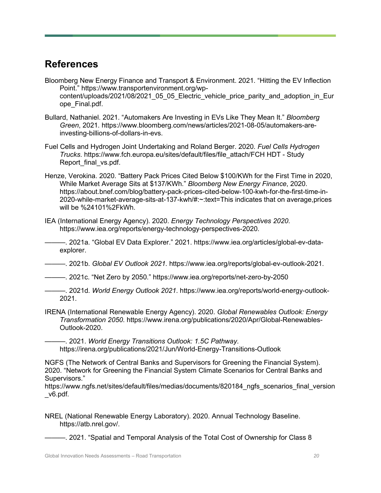#### **References**

- Bloomberg New Energy Finance and Transport & Environment. 2021. "Hitting the EV Inflection Point." https://www.transportenvironment.org/wpcontent/uploads/2021/08/2021\_05\_05\_Electric\_vehicle\_price\_parity\_and\_adoption\_in\_Eur ope\_Final.pdf.
- Bullard, Nathaniel. 2021. "Automakers Are Investing in EVs Like They Mean It." *Bloomberg Green*, 2021. https://www.bloomberg.com/news/articles/2021-08-05/automakers-areinvesting-billions-of-dollars-in-evs.
- Fuel Cells and Hydrogen Joint Undertaking and Roland Berger. 2020. *Fuel Cells Hydrogen Trucks*. https://www.fch.europa.eu/sites/default/files/file\_attach/FCH HDT - Study Report final vs.pdf.
- Henze, Verokina. 2020. "Battery Pack Prices Cited Below \$100/KWh for the First Time in 2020, While Market Average Sits at \$137/KWh." *Bloomberg New Energy Finance*, 2020. https://about.bnef.com/blog/battery-pack-prices-cited-below-100-kwh-for-the-first-time-in-2020-while-market-average-sits-at-137-kwh/#:~:text=This indicates that on average,prices will be %24101%2FkWh.
- IEA (International Energy Agency). 2020. *Energy Technology Perspectives 2020*. https://www.iea.org/reports/energy-technology-perspectives-2020.

———. 2021a. "Global EV Data Explorer." 2021. https://www.iea.org/articles/global-ev-dataexplorer.

———. 2021b. *Global EV Outlook 2021*. https://www.iea.org/reports/global-ev-outlook-2021.

———. 2021c. "Net Zero by 2050." https://www.iea.org/reports/net-zero-by-2050

- ———. 2021d. *World Energy Outlook 2021*. https://www.iea.org/reports/world-energy-outlook-2021.
- IRENA (International Renewable Energy Agency). 2020. *Global Renewables Outlook: Energy Transformation 2050*. https://www.irena.org/publications/2020/Apr/Global-Renewables-Outlook-2020.

———. 2021. *World Energy Transitions Outlook: 1.5C Pathway*. https://irena.org/publications/2021/Jun/World-Energy-Transitions-Outlook

NGFS (The Network of Central Banks and Supervisors for Greening the Financial System). 2020. "Network for Greening the Financial System Climate Scenarios for Central Banks and Supervisors."

https://www.ngfs.net/sites/default/files/medias/documents/820184 ngfs scenarios final version \_v6.pdf.

NREL (National Renewable Energy Laboratory). 2020. Annual Technology Baseline. https://atb.nrel.gov/.

———. 2021. "Spatial and Temporal Analysis of the Total Cost of Ownership for Class 8